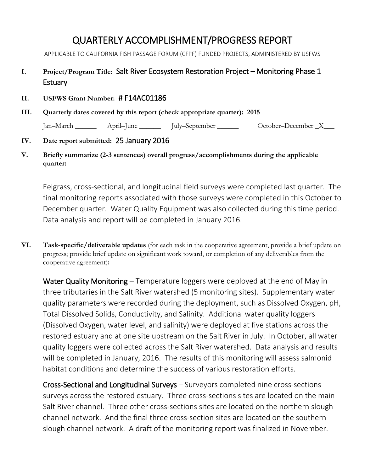# QUARTERLY ACCOMPLISHMENT/PROGRESS REPORT

APPLICABLE TO CALIFORNIA FISH PASSAGE FORUM (CFPF) FUNDED PROJECTS, ADMINISTERED BY USFWS

# **I. Project/Program Title:** Salt River Ecosystem Restoration Project – Monitoring Phase 1 **Estuary**

#### **II. USFWS Grant Number:** # F14AC01186

**III. Quarterly dates covered by this report (check appropriate quarter): 2015**

Jan–March \_\_\_\_\_\_ April–June \_\_\_\_\_\_ July–September \_\_\_\_\_\_ October–December \_X\_\_\_

### **IV. Date report submitted:** 25 January 2016

**V. Briefly summarize (2-3 sentences) overall progress/accomplishments during the applicable quarter:** 

Eelgrass, cross-sectional, and longitudinal field surveys were completed last quarter. The final monitoring reports associated with those surveys were completed in this October to December quarter. Water Quality Equipment was also collected during this time period. Data analysis and report will be completed in January 2016.

**VI. Task-specific/deliverable updates** (for each task in the cooperative agreement, provide a brief update on progress; provide brief update on significant work toward, or completion of any deliverables from the cooperative agreement)**:**

Water Quality Monitoring – Temperature loggers were deployed at the end of May in three tributaries in the Salt River watershed (5 monitoring sites). Supplementary water quality parameters were recorded during the deployment, such as Dissolved Oxygen, pH, Total Dissolved Solids, Conductivity, and Salinity. Additional water quality loggers (Dissolved Oxygen, water level, and salinity) were deployed at five stations across the restored estuary and at one site upstream on the Salt River in July. In October, all water quality loggers were collected across the Salt River watershed. Data analysis and results will be completed in January, 2016. The results of this monitoring will assess salmonid habitat conditions and determine the success of various restoration efforts.

Cross-Sectional and Longitudinal Surveys – Surveyors completed nine cross-sections surveys across the restored estuary. Three cross-sections sites are located on the main Salt River channel. Three other cross-sections sites are located on the northern slough channel network. And the final three cross-section sites are located on the southern slough channel network. A draft of the monitoring report was finalized in November.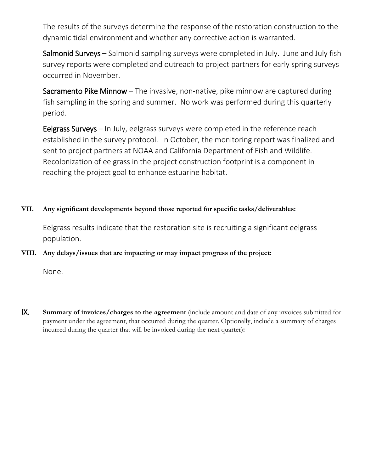The results of the surveys determine the response of the restoration construction to the dynamic tidal environment and whether any corrective action is warranted.

Salmonid Surveys – Salmonid sampling surveys were completed in July. June and July fish survey reports were completed and outreach to project partners for early spring surveys occurred in November.

Sacramento Pike Minnow  $-$  The invasive, non-native, pike minnow are captured during fish sampling in the spring and summer. No work was performed during this quarterly period.

Eelgrass Surveys – In July, eelgrass surveys were completed in the reference reach established in the survey protocol. In October, the monitoring report was finalized and sent to project partners at NOAA and California Department of Fish and Wildlife. Recolonization of eelgrass in the project construction footprint is a component in reaching the project goal to enhance estuarine habitat.

### **VII. Any significant developments beyond those reported for specific tasks/deliverables:**

Eelgrass results indicate that the restoration site is recruiting a significant eelgrass population.

### **VIII. Any delays/issues that are impacting or may impact progress of the project:**

None.

IX. **Summary of invoices/charges to the agreement** (include amount and date of any invoices submitted for payment under the agreement, that occurred during the quarter. Optionally, include a summary of charges incurred during the quarter that will be invoiced during the next quarter)**:**